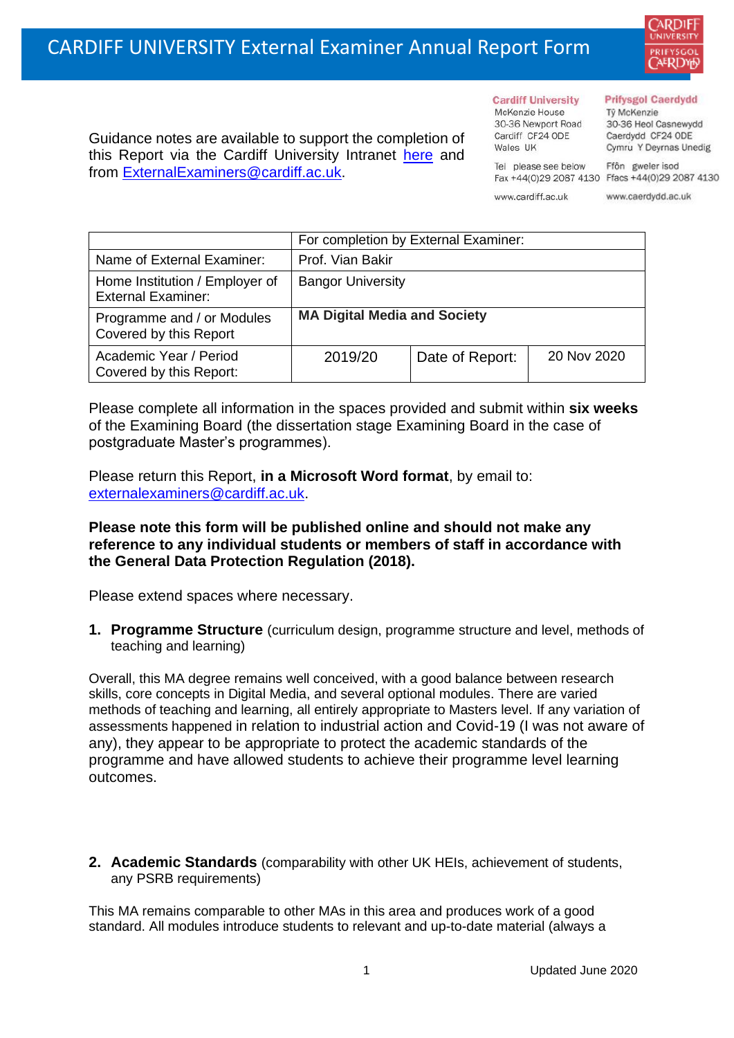

Guidance notes are available to support the completion of this Report via the Cardiff University Intranet [here](https://intranet.cardiff.ac.uk/staff/teaching-and-supporting-students/exams-and-assessment/exam-boards-and-external-examiners/for-current-external-examiners/external-examiners-reports) and from [ExternalExaminers@cardiff.ac.uk.](mailto:ExternalExaminers@cardiff.ac.uk)

**Cardiff University** McKenzie House 30-36 Newport Road Cardiff CF24 ODE

Wales IIK

#### **Prifysgol Caerdydd**

Từ McKenzie 30-36 Heol Casnewydd Caerdydd CF24 ODE Cymru Y Deyrnas Unedig

Ffôn gweler isod Fax +44(0)29 2087 4130 Ffacs +44(0)29 2087 4130

www.cardiff.ac.uk

Tel please see below

www.caerdydd.ac.uk

|                                                             | For completion by External Examiner: |                 |             |
|-------------------------------------------------------------|--------------------------------------|-----------------|-------------|
| Name of External Examiner:                                  | Prof. Vian Bakir                     |                 |             |
| Home Institution / Employer of<br><b>External Examiner:</b> | <b>Bangor University</b>             |                 |             |
| Programme and / or Modules<br>Covered by this Report        | <b>MA Digital Media and Society</b>  |                 |             |
| Academic Year / Period<br>Covered by this Report:           | 2019/20                              | Date of Report: | 20 Nov 2020 |

Please complete all information in the spaces provided and submit within **six weeks** of the Examining Board (the dissertation stage Examining Board in the case of postgraduate Master's programmes).

Please return this Report, **in a Microsoft Word format**, by email to: [externalexaminers@cardiff.ac.uk.](mailto:externalexaminers@cardiff.ac.uk)

# **Please note this form will be published online and should not make any reference to any individual students or members of staff in accordance with the General Data Protection Regulation (2018).**

Please extend spaces where necessary.

**1. Programme Structure** (curriculum design, programme structure and level, methods of teaching and learning)

Overall, this MA degree remains well conceived, with a good balance between research skills, core concepts in Digital Media, and several optional modules. There are varied methods of teaching and learning, all entirely appropriate to Masters level. If any variation of assessments happened in relation to industrial action and Covid-19 (I was not aware of any), they appear to be appropriate to protect the academic standards of the programme and have allowed students to achieve their programme level learning outcomes.

**2. Academic Standards** (comparability with other UK HEIs, achievement of students, any PSRB requirements)

This MA remains comparable to other MAs in this area and produces work of a good standard. All modules introduce students to relevant and up-to-date material (always a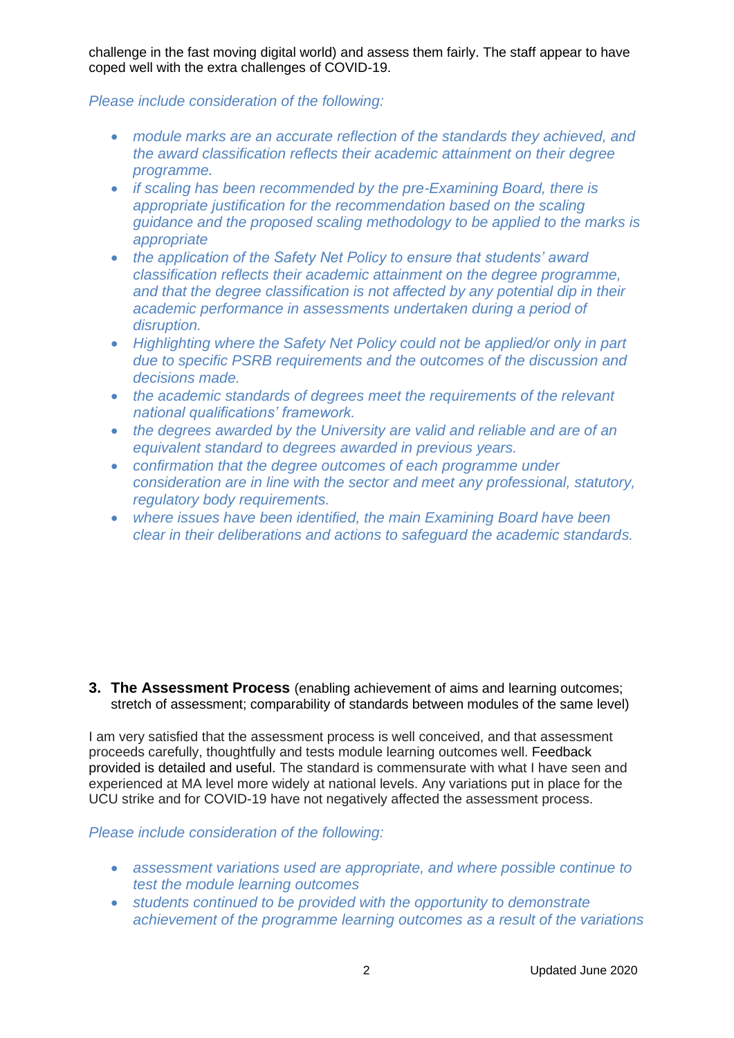challenge in the fast moving digital world) and assess them fairly. The staff appear to have coped well with the extra challenges of COVID-19.

# *Please include consideration of the following:*

- *module marks are an accurate reflection of the standards they achieved, and the award classification reflects their academic attainment on their degree programme.*
- *if scaling has been recommended by the pre-Examining Board, there is appropriate justification for the recommendation based on the scaling guidance and the proposed scaling methodology to be applied to the marks is appropriate*
- *the application of the Safety Net Policy to ensure that students' award classification reflects their academic attainment on the degree programme, and that the degree classification is not affected by any potential dip in their academic performance in assessments undertaken during a period of disruption.*
- *Highlighting where the Safety Net Policy could not be applied/or only in part due to specific PSRB requirements and the outcomes of the discussion and decisions made.*
- *the academic standards of degrees meet the requirements of the relevant national qualifications' framework.*
- *the degrees awarded by the University are valid and reliable and are of an equivalent standard to degrees awarded in previous years.*
- *confirmation that the degree outcomes of each programme under consideration are in line with the sector and meet any professional, statutory, regulatory body requirements.*
- *where issues have been identified, the main Examining Board have been clear in their deliberations and actions to safeguard the academic standards.*

**3. The Assessment Process** (enabling achievement of aims and learning outcomes; stretch of assessment; comparability of standards between modules of the same level)

I am very satisfied that the assessment process is well conceived, and that assessment proceeds carefully, thoughtfully and tests module learning outcomes well. Feedback provided is detailed and useful. The standard is commensurate with what I have seen and experienced at MA level more widely at national levels. Any variations put in place for the UCU strike and for COVID-19 have not negatively affected the assessment process.

*Please include consideration of the following:* 

- *assessment variations used are appropriate, and where possible continue to test the module learning outcomes*
- *students continued to be provided with the opportunity to demonstrate achievement of the programme learning outcomes as a result of the variations*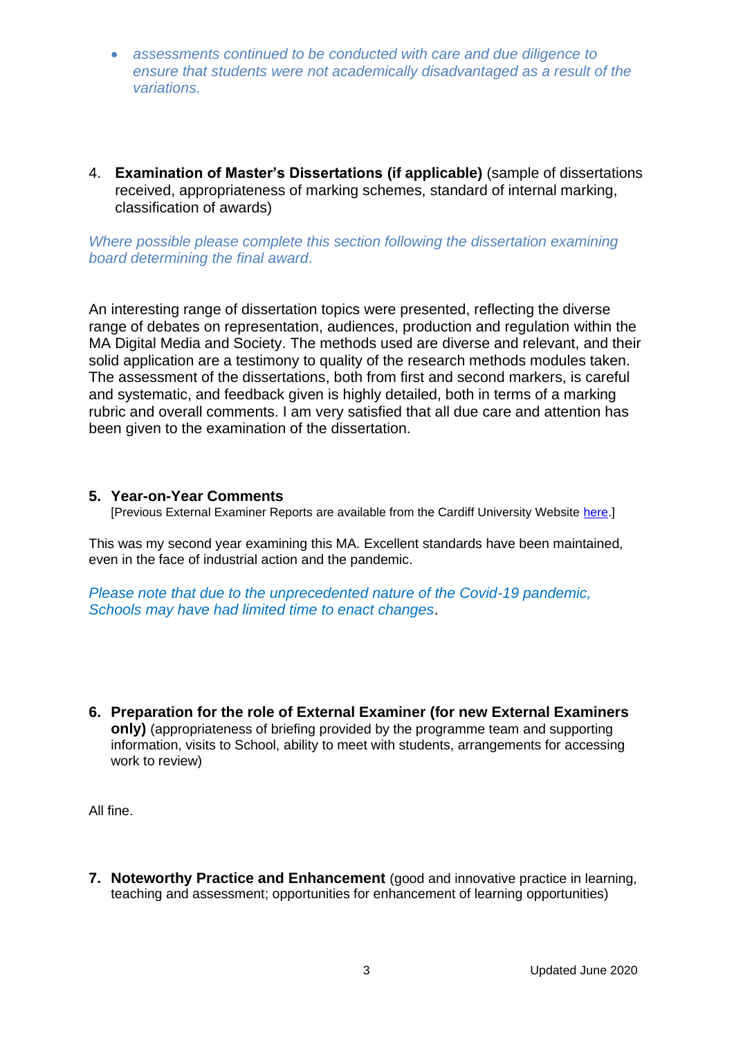- *assessments continued to be conducted with care and due diligence to ensure that students were not academically disadvantaged as a result of the variations.*
- 4. **Examination of Master's Dissertations (if applicable)** (sample of dissertations received, appropriateness of marking schemes, standard of internal marking, classification of awards)

*Where possible please complete this section following the dissertation examining board determining the final award*.

An interesting range of dissertation topics were presented, reflecting the diverse range of debates on representation, audiences, production and regulation within the MA Digital Media and Society. The methods used are diverse and relevant, and their solid application are a testimony to quality of the research methods modules taken. The assessment of the dissertations, both from first and second markers, is careful and systematic, and feedback given is highly detailed, both in terms of a marking rubric and overall comments. I am very satisfied that all due care and attention has been given to the examination of the dissertation.

#### **5. Year-on-Year Comments**

[Previous External Examiner Reports are available from the Cardiff University Website [here.](https://www.cardiff.ac.uk/public-information/quality-and-standards/external-examiner-reports)]

This was my second year examining this MA. Excellent standards have been maintained, even in the face of industrial action and the pandemic.

*Please note that due to the unprecedented nature of the Covid-19 pandemic, Schools may have had limited time to enact changes*.

**6. Preparation for the role of External Examiner (for new External Examiners only)** (appropriateness of briefing provided by the programme team and supporting information, visits to School, ability to meet with students, arrangements for accessing work to review)

All fine.

**7. Noteworthy Practice and Enhancement** (good and innovative practice in learning, teaching and assessment; opportunities for enhancement of learning opportunities)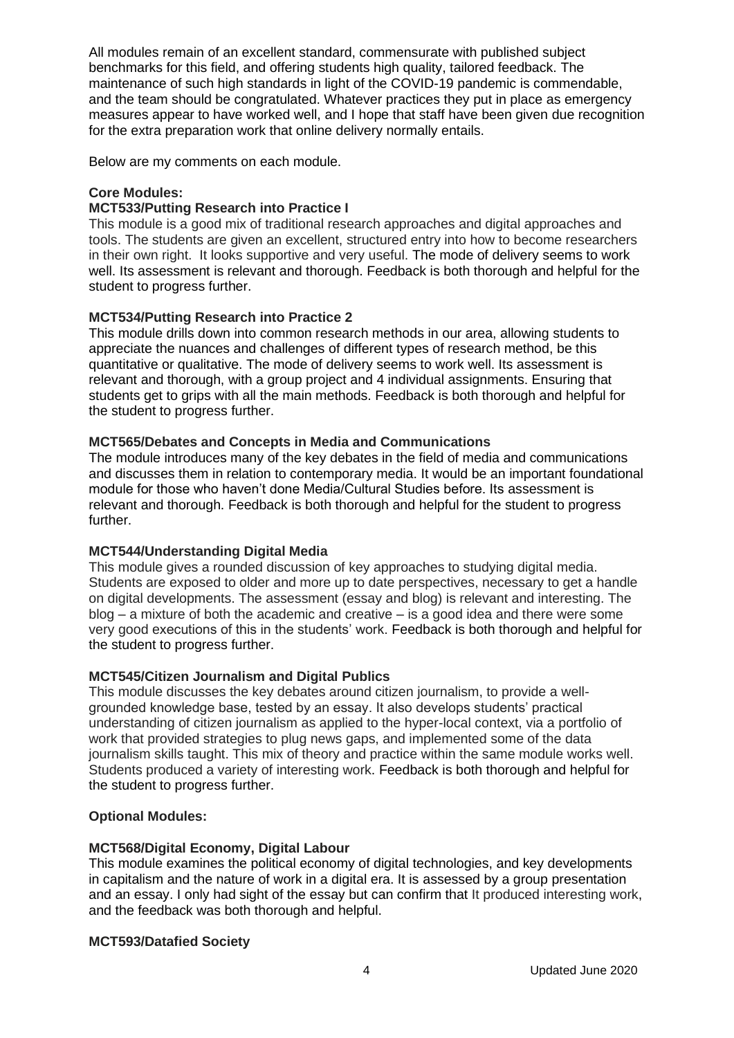All modules remain of an excellent standard, commensurate with published subject benchmarks for this field, and offering students high quality, tailored feedback. The maintenance of such high standards in light of the COVID-19 pandemic is commendable, and the team should be congratulated. Whatever practices they put in place as emergency measures appear to have worked well, and I hope that staff have been given due recognition for the extra preparation work that online delivery normally entails.

Below are my comments on each module.

### **Core Modules:**

### **MCT533/Putting Research into Practice I**

This module is a good mix of traditional research approaches and digital approaches and tools. The students are given an excellent, structured entry into how to become researchers in their own right. It looks supportive and very useful. The mode of delivery seems to work well. Its assessment is relevant and thorough. Feedback is both thorough and helpful for the student to progress further.

#### **MCT534/Putting Research into Practice 2**

This module drills down into common research methods in our area, allowing students to appreciate the nuances and challenges of different types of research method, be this quantitative or qualitative. The mode of delivery seems to work well. Its assessment is relevant and thorough, with a group project and 4 individual assignments. Ensuring that students get to grips with all the main methods. Feedback is both thorough and helpful for the student to progress further.

#### **MCT565/Debates and Concepts in Media and Communications**

The module introduces many of the key debates in the field of media and communications and discusses them in relation to contemporary media. It would be an important foundational module for those who haven't done Media/Cultural Studies before. Its assessment is relevant and thorough. Feedback is both thorough and helpful for the student to progress further.

#### **MCT544/Understanding Digital Media**

This module gives a rounded discussion of key approaches to studying digital media. Students are exposed to older and more up to date perspectives, necessary to get a handle on digital developments. The assessment (essay and blog) is relevant and interesting. The blog – a mixture of both the academic and creative – is a good idea and there were some very good executions of this in the students' work. Feedback is both thorough and helpful for the student to progress further.

#### **MCT545/Citizen Journalism and Digital Publics**

This module discusses the key debates around citizen journalism, to provide a wellgrounded knowledge base, tested by an essay. It also develops students' practical understanding of citizen journalism as applied to the hyper-local context, via a portfolio of work that provided strategies to plug news gaps, and implemented some of the data journalism skills taught. This mix of theory and practice within the same module works well. Students produced a variety of interesting work. Feedback is both thorough and helpful for the student to progress further.

#### **Optional Modules:**

#### **MCT568/Digital Economy, Digital Labour**

This module examines the political economy of digital technologies, and key developments in capitalism and the nature of work in a digital era. It is assessed by a group presentation and an essay. I only had sight of the essay but can confirm that It produced interesting work, and the feedback was both thorough and helpful.

#### **MCT593/Datafied Society**